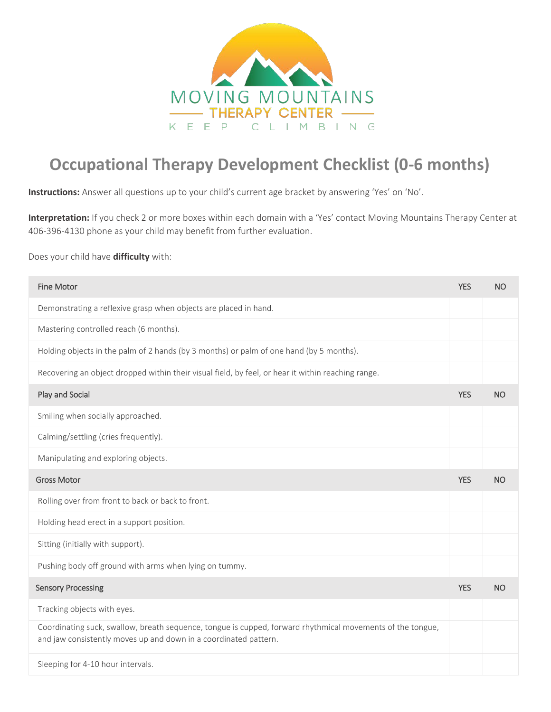

## **Occupational Therapy Development Checklist (0-6 months)**

**Instructions:** Answer all questions up to your child's current age bracket by answering 'Yes' on 'No'.

**Interpretation:** If you check 2 or more boxes within each domain with a 'Yes' contact Moving Mountains Therapy Center at 406-396-4130 phone as your child may benefit from further evaluation.

## Does your child have **difficulty** with:

| <b>Fine Motor</b>                                                                                                                                                              | <b>YES</b> | <b>NO</b> |
|--------------------------------------------------------------------------------------------------------------------------------------------------------------------------------|------------|-----------|
| Demonstrating a reflexive grasp when objects are placed in hand.                                                                                                               |            |           |
| Mastering controlled reach (6 months).                                                                                                                                         |            |           |
| Holding objects in the palm of 2 hands (by 3 months) or palm of one hand (by 5 months).                                                                                        |            |           |
| Recovering an object dropped within their visual field, by feel, or hear it within reaching range.                                                                             |            |           |
| Play and Social                                                                                                                                                                | <b>YES</b> | <b>NO</b> |
| Smiling when socially approached.                                                                                                                                              |            |           |
| Calming/settling (cries frequently).                                                                                                                                           |            |           |
| Manipulating and exploring objects.                                                                                                                                            |            |           |
| <b>Gross Motor</b>                                                                                                                                                             | <b>YES</b> | <b>NO</b> |
| Rolling over from front to back or back to front.                                                                                                                              |            |           |
| Holding head erect in a support position.                                                                                                                                      |            |           |
| Sitting (initially with support).                                                                                                                                              |            |           |
| Pushing body off ground with arms when lying on tummy.                                                                                                                         |            |           |
| <b>Sensory Processing</b>                                                                                                                                                      | <b>YES</b> | <b>NO</b> |
| Tracking objects with eyes.                                                                                                                                                    |            |           |
| Coordinating suck, swallow, breath sequence, tongue is cupped, forward rhythmical movements of the tongue,<br>and jaw consistently moves up and down in a coordinated pattern. |            |           |
| Sleeping for 4-10 hour intervals.                                                                                                                                              |            |           |